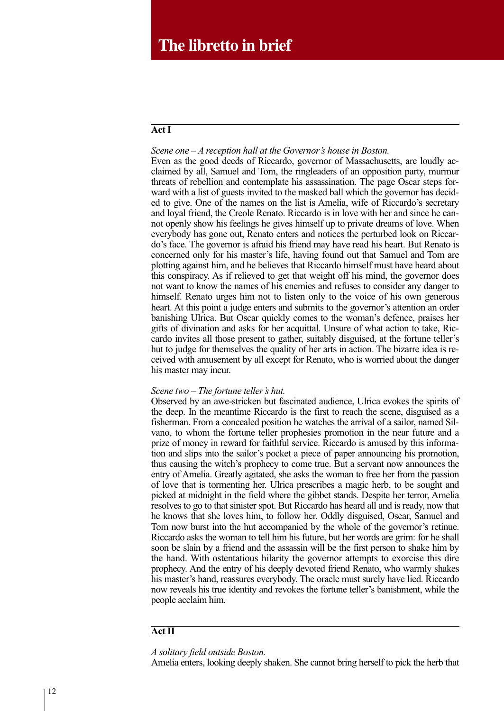### **Act I**

*Scene one* – *A reception hall at the Governor's house in Boston.* Even as the good deeds of Riccardo, governor of Massachusetts, are loudly acclaimed by all, Samuel and Tom, the ringleaders of an opposition party, murmur threats of rebellion and contemplate his assassination. The page Oscar steps forward with a list of guests invited to the masked ball which the governor has decided to give. One of the names on the list is Amelia, wife of Riccardo's secretary and loyal friend, the Creole Renato. Riccardo is in love with her and since he cannot openly show his feelings he gives himself up to private dreams of love. When everybody has gone out, Renato enters and notices the perturbed look on Riccardo's face. The governor is afraid his friend may have read his heart. But Renato is concerned only for his master's life, having found out that Samuel and Tom are plotting against him, and he believes that Riccardo himself must have heard about this conspiracy. As if relieved to get that weight off his mind, the governor does not want to know the names of his enemies and refuses to consider any danger to himself. Renato urges him not to listen only to the voice of his own generous heart. At this point a judge enters and submits to the governor's attention an order banishing Ulrica. But Oscar quickly comes to the woman's defence, praises her gifts of divination and asks for her acquittal. Unsure of what action to take, Riccardo invites all those present to gather, suitably disguised, at the fortune teller's hut to judge for themselves the quality of her arts in action. The bizarre idea is received with amusement by all except for Renato, who is worried about the danger his master may incur.

## *Scene two* – *The fortune teller's hut.*

Observed by an awe-stricken but fascinated audience, Ulrica evokes the spirits of the deep. In the meantime Riccardo is the first to reach the scene, disguised as a fisherman. From a concealed position he watches the arrival of a sailor, named Silvano, to whom the fortune teller prophesies promotion in the near future and a prize of money in reward for faithful service. Riccardo is amused by this information and slips into the sailor's pocket a piece of paper announcing his promotion, thus causing the witch's prophecy to come true. But a servant now announces the entry of Amelia. Greatly agitated, she asks the woman to free her from the passion of love that is tormenting her. Ulrica prescribes a magic herb, to be sought and picked at midnight in the field where the gibbet stands. Despite her terror, Amelia resolves to go to that sinister spot. But Riccardo has heard all and is ready, now that he knows that she loves him, to follow her. Oddly disguised, Oscar, Samuel and Tom now burst into the hut accompanied by the whole of the governor's retinue. Riccardo asks the woman to tell him his future, but her words are grim: for he shall soon be slain by a friend and the assassin will be the first person to shake him by the hand. With ostentatious hilarity the governor attempts to exorcise this dire prophecy. And the entry of his deeply devoted friend Renato, who warmly shakes his master's hand, reassures everybody. The oracle must surely have lied. Riccardo now reveals his true identity and revokes the fortune teller's banishment, while the people acclaim him.

## **Act II**

*A solitary field outside Boston.*

Amelia enters, looking deeply shaken. She cannot bring herself to pick the herb that